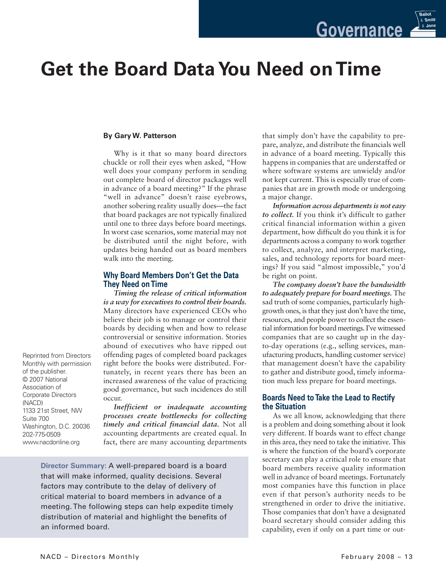

# **Get the Board DataYou Need on Time**

### **By Gary W. Patterson**

Why is it that so many board directors chuckle or roll their eyes when asked, "How well does your company perform in sending out complete board of director packages well in advance of a board meeting?" If the phrase "well in advance" doesn't raise eyebrows, another sobering reality usually does—the fact that board packages are not typically finalized until one to three days before board meetings. In worst case scenarios, some material may not be distributed until the night before, with updates being handed out as board members walk into the meeting.

### **Why Board Members Don't Get the Data They Need on Time**

*Timing the release of critical information is a way for executives to control their boards.* Many directors have experienced CEOs who believe their job is to manage or control their boards by deciding when and how to release controversial or sensitive information. Stories abound of executives who have ripped out offending pages of completed board packages right before the books were distributed. Fortunately, in recent years there has been an increased awareness of the value of practicing good governance, but such incidences do still occur.

*Inefficient or inadequate accounting processes create bottlenecks for collecting timely and critical financial data.* Not all accounting departments are created equal. In fact, there are many accounting departments

**Director Summary:** A well-prepared board is a board that will make informed, quality decisions. Several factors may contribute to the delay of delivery of critical material to board members in advance of a meeting. The following steps can help expedite timely distribution of material and highlight the benefits of an informed board.

that simply don't have the capability to prepare, analyze, and distribute the financials well in advance of a board meeting. Typically this happens in companies that are understaffed or where software systems are unwieldy and/or not kept current. This is especially true of companies that are in growth mode or undergoing a major change.

*Information across departments is not easy to collect.* If you think it's difficult to gather critical financial information within a given department, how difficult do you think it is for departments across a company to work together to collect, analyze, and interpret marketing, sales, and technology reports for board meetings? If you said "almost impossible," you'd be right on point.

*The company doesn't have the bandwidth to adequately prepare for board meetings.* The sad truth of some companies, particularly highgrowth ones, isthat they just don't have the time, resources, and people power to collect the essential information for board meetings. I've witnessed companies that are so caught up in the dayto-day operations (e.g., selling services, manufacturing products, handling customer service) that management doesn't have the capability to gather and distribute good, timely information much less prepare for board meetings.

### **Boards Need to Take the Lead to Rectify the Situation**

As we all know, acknowledging that there is a problem and doing something about it look very different. If boards want to effect change in this area, they need to take the initiative. This is where the function of the board's corporate secretary can play a critical role to ensure that board members receive quality information well in advance of board meetings. Fortunately most companies have this function in place even if that person's authority needs to be strengthened in order to drive the initiative. Those companies that don't have a designated board secretary should consider adding this capability, even if only on a part time or out-

Reprinted from Directors Monthly with permission of the publisher. © 2007 National Association of Corporate Directors (NACD) 1133 21st Street, NW Suite 700 Washington, D.C. 20036 202-775-0509 www.nacdonline.org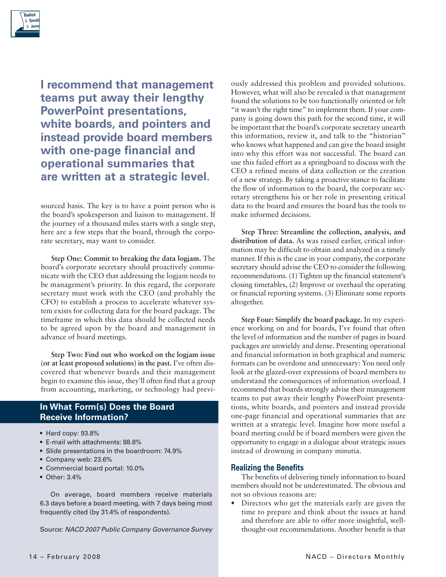

**I recommend that management teams put away their lengthy PowerPoint presentations, white boards, and pointers and instead provide board members with one-page financial and operational summaries that are written at a strategic level.**

sourced basis. The key is to have a point person who is the board's spokesperson and liaison to management. If the journey of a thousand miles starts with a single step, here are a few steps that the board, through the corporate secretary, may want to consider.

**Step One: Commit to breaking the data logjam.** The board's corporate secretary should proactively communicate with the CEO that addressing the logjam needs to be management's priority. In this regard, the corporate secretary must work with the CEO (and probably the CFO) to establish a process to accelerate whatever system exists for collecting data for the board package. The timeframe in which this data should be collected needs to be agreed upon by the board and management in advance of board meetings.

**Step Two: Find out who worked on the logjam issue (or at least proposed solutions) in the past.** I've often discovered that whenever boards and their management begin to examine this issue, they'll often find that a group from accounting, marketing, or technology had previ-

### **In What Form(s) Does the Board Receive Information?**

- Hard copy: 93.8%
- E-mail with attachments: 88.8%
- Slide presentations in the boardroom: 74.9%
- Company web: 23.6%
- Commercial board portal: 10.0%
- Other: 3.4%

On average, board members receive materials 6.3 days before a board meeting, with 7 days being most frequently cited (by 31.4% of respondents).

Source: *NACD 2007 Public Company Governance Survey*

ously addressed this problem and provided solutions. However, what will also be revealed is that management found the solutions to be too functionally oriented or felt "it wasn't the right time" to implement them. If your company is going down this path for the second time, it will be important that the board's corporate secretary unearth this information, review it, and talk to the "historian" who knows what happened and can give the board insight into why this effort was not successful. The board can use this failed effort as a springboard to discuss with the CEO a refined means of data collection or the creation of a new strategy. By taking a proactive stance to facilitate the flow of information to the board, the corporate secretary strengthens his or her role in presenting critical data to the board and ensures the board has the tools to make informed decisions.

**Step Three: Streamline the collection, analysis, and distribution of data.** As was raised earlier, critical information may be difficult to obtain and analyzed in a timely manner. If this is the case in your company, the corporate secretary should advise the CEO to consider the following recommendations. (1) Tighten up the financial statement's closing timetables, (2) Improve or overhaul the operating or financial reporting systems. (3) Eliminate some reports altogether.

**Step Four: Simplify the board package.** In my experience working on and for boards, I've found that often the level of information and the number of pages in board packages are unwieldy and dense. Presenting operational and financial information in both graphical and numeric formats can be overdone and unnecessary: You need only look at the glazed-over expressions of board members to understand the consequences of information overload. I recommend that boards strongly advise their management teams to put away their lengthy PowerPoint presentations, white boards, and pointers and instead provide one-page financial and operational summaries that are written at a strategic level. Imagine how more useful a board meeting could be if board members were given the opportunity to engage in a dialogue about strategic issues instead of drowning in company minutia.

#### **Realizing the Benefits**

The benefits of delivering timely information to board members should not be underestimated. The obvious and not so obvious reasons are:

• Directors who get the materials early are given the time to prepare and think about the issues at hand and therefore are able to offer more insightful, wellthought-out recommendations. Another benefit is that